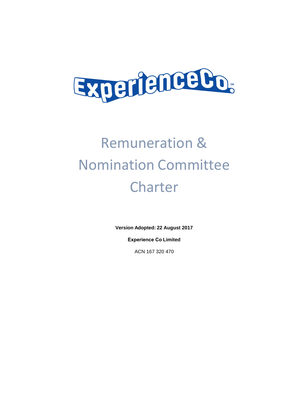

## Remuneration & Nomination Committee Charter

**Version Adopted: 22 August 2017** 

**Experience Co Limited** 

ACN 167 320 470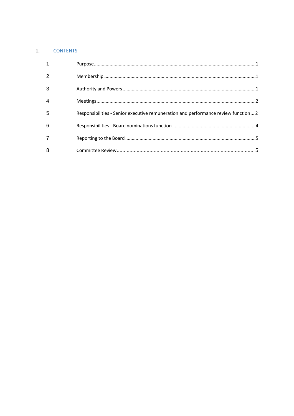## 1. CONTENTS

| 3 |                                                                                    |  |
|---|------------------------------------------------------------------------------------|--|
|   |                                                                                    |  |
| 5 | Responsibilities - Senior executive remuneration and performance review function 2 |  |
| 6 |                                                                                    |  |
|   |                                                                                    |  |
| 8 |                                                                                    |  |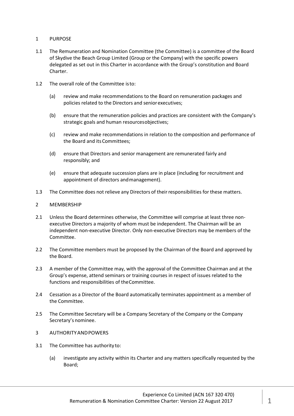- 1 PURPOSE
- 1.1 The Remuneration and Nomination Committee (the Committee) is a committee of the Board of Skydive the Beach Group Limited (Group or the Company) with the specific powers delegated as set out in this Charter in accordance with the Group's constitution and Board Charter.
- 1.2 The overall role of the Committee is to:
	- (a) review and make recommendations to the Board on remuneration packages and policies related to the Directors and senior executives;
	- (b) ensure that the remuneration policies and practices are consistent with the Company's strategic goals and human resources objectives;
	- (c) review and make recommendations in relation to the composition and performance of the Board and its Committees;
	- (d) ensure that Directors and senior management are remunerated fairly and responsibly; and
	- (e) ensure that adequate succession plans are in place (including for recruitment and appointment of directors and management).
- 1.3 The Committee does not relieve any Directors of their responsibilities for these matters.
- 2 MEMBERSHIP
- 2.1 Unless the Board determines otherwise, the Committee will comprise at least three nonexecutive Directors a majority of whom must be independent. The Chairman will be an independent non-executive Director. Only non-executive Directors may be members of the Committee.
- 2.2 The Committee members must be proposed by the Chairman of the Board and approved by the Board.
- 2.3 A member of the Committee may, with the approval of the Committee Chairman and at the Group's expense, attend seminars or training courses in respect of issues related to the functions and responsibilities of the Committee.
- 2.4 Cessation as a Director of the Board automatically terminates appointment as a member of the Committee.
- 2.5 The Committee Secretary will be a Company Secretary of the Company or the Company Secretary's nominee.
- 3 AUTHORITY AND POWERS
- 3.1 The Committee has authority to:
	- (a) investigate any activity within its Charter and any matters specifically requested by the Board;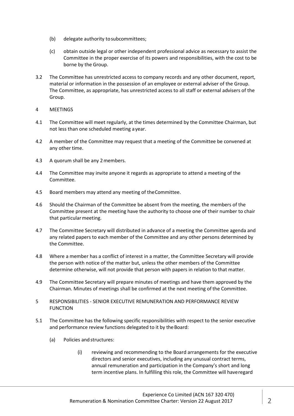- (b) delegate authority to subcommittees;
- (c) obtain outside legal or other independent professional advice as necessary to assist the Committee in the proper exercise of its powers and responsibilities, with the cost to be borne by the Group.
- 3.2 The Committee has unrestricted access to company records and any other document, report, material or information in the possession of an employee or external adviser of the Group. The Committee, as appropriate, has unrestricted access to all staff or external advisers of the Group.
- 4 MEETINGS
- 4.1 The Committee will meet regularly, at the times determined by the Committee Chairman, but not less than one scheduled meeting a year.
- 4.2 A member of the Committee may request that a meeting of the Committee be convened at any other time.
- 4.3 A quorum shall be any 2 members.
- 4.4 The Committee may invite anyone it regards as appropriate to attend a meeting of the Committee.
- 4.5 Board members may attend any meeting of the Committee.
- 4.6 Should the Chairman of the Committee be absent from the meeting, the members of the Committee present at the meeting have the authority to choose one of their number to chair that particular meeting.
- 4.7 The Committee Secretary will distributed in advance of a meeting the Committee agenda and any related papers to each member of the Committee and any other persons determined by the Committee.
- 4.8 Where a member has a conflict of interest in a matter, the Committee Secretary will provide the person with notice of the matter but, unless the other members of the Committee determine otherwise, will not provide that person with papers in relation to that matter.
- 4.9 The Committee Secretary will prepare minutes of meetings and have them approved by the Chairman. Minutes of meetings shall be confirmed at the next meeting of the Committee.
- 5 RESPONSIBILITIES SENIOR EXECUTIVE REMUNERATION AND PERFORMANCE REVIEW FUNCTION
- 5.1 The Committee has the following specific responsibilities with respect to the senior executive and performance review functions delegated to it by the Board:
	- (a) Policies and structures:
		- (i) reviewing and recommending to the Board arrangements for the executive directors and senior executives, including any unusual contract terms, annual remuneration and participation in the Company's short and long term incentive plans. In fulfilling this role, the Committee will have regard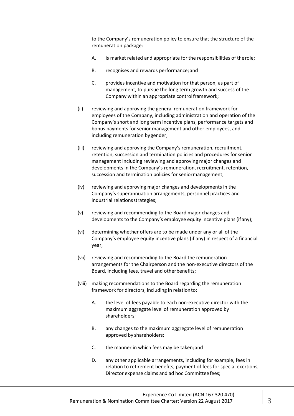to the Company's remuneration policy to ensure that the structure of the remuneration package:

- A. is market related and appropriate for the responsibilities of the role;
- B. recognises and rewards performance; and
- C. provides incentive and motivation for that person, as part of management, to pursue the long term growth and success of the Company within an appropriate control framework;
- (ii) reviewing and approving the general remuneration framework for employees of the Company, including administration and operation of the Company's short and long term incentive plans, performance targets and bonus payments for senior management and other employees, and including remuneration by gender;
- (iii) reviewing and approving the Company's remuneration, recruitment, retention, succession and termination policies and procedures for senior management including reviewing and approving major changes and developments in the Company's remuneration, recruitment, retention, succession and termination policies for senior management;
- (iv) reviewing and approving major changes and developments in the Company's superannuation arrangements, personnel practices and industrial relations strategies;
- (v) reviewing and recommending to the Board major changes and developments to the Company's employee equity incentive plans (if any);
- (vi) determining whether offers are to be made under any or all of the Company's employee equity incentive plans (if any) in respect of a financial year;
- (vii) reviewing and recommending to the Board the remuneration arrangements for the Chairperson and the non-executive directors of the Board, including fees, travel and other benefits;
- (viii) making recommendations to the Board regarding the remuneration framework for directors, including in relation to:
	- A. the level of fees payable to each non-executive director with the maximum aggregate level of remuneration approved by shareholders;
	- B. any changes to the maximum aggregate level of remuneration approved by shareholders;
	- C. the manner in which fees may be taken; and
	- D. any other applicable arrangements, including for example, fees in relation to retirement benefits, payment of fees for special exertions, Director expense claims and ad hoc Committee fees;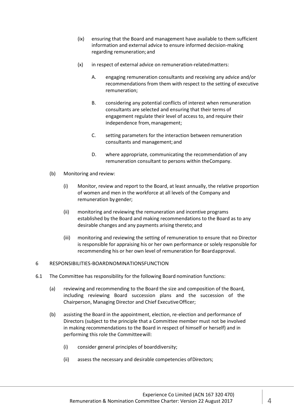- (ix) ensuring that the Board and management have available to them sufficient information and external advice to ensure informed decision-making regarding remuneration; and
- (x) in respect of external advice on remuneration-related matters:
	- A. engaging remuneration consultants and receiving any advice and/or recommendations from them with respect to the setting of executive remuneration;
	- B. considering any potential conflicts of interest when remuneration consultants are selected and ensuring that their terms of engagement regulate their level of access to, and require their independence from, management;
	- C. setting parameters for the interaction between remuneration consultants and management; and
	- D. where appropriate, communicating the recommendation of any remuneration consultant to persons within the Company.
- (b) Monitoring and review:
	- (i) Monitor, review and report to the Board, at least annually, the relative proportion of women and men in the workforce at all levels of the Company and remuneration by gender;
	- (ii) monitoring and reviewing the remuneration and incentive programs established by the Board and making recommendations to the Board as to any desirable changes and any payments arising thereto; and
	- (iii) monitoring and reviewing the setting of remuneration to ensure that no Director is responsible for appraising his or her own performance or solely responsible for recommending his or her own level of remuneration for Board approval.

## 6 RESPONSIBILITIES-BOARDNOMINATIONSFUNCTION

- 6.1 The Committee has responsibility for the following Board nomination functions:
	- (a) reviewing and recommending to the Board the size and composition of the Board, including reviewing Board succession plans and the succession of the Chairperson, Managing Director and Chief Executive Officer;
	- (b) assisting the Board in the appointment, election, re-election and performance of Directors (subject to the principle that a Committee member must not be involved in making recommendations to the Board in respect of himself or herself) and in performing this role the Committee will:
		- (i) consider general principles of board diversity;
		- (ii) assess the necessary and desirable competencies of Directors;